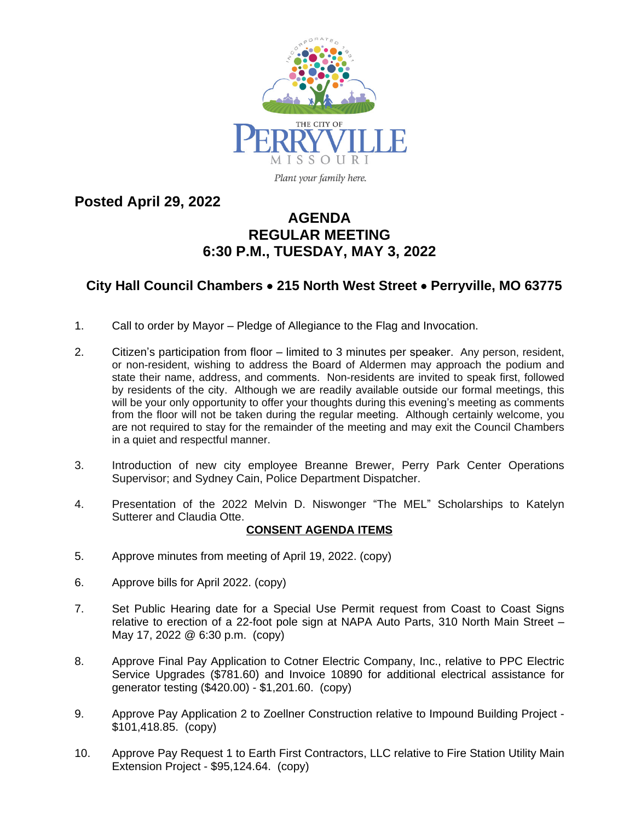

Plant your family here.

**Posted April 29, 2022**

## **AGENDA REGULAR MEETING 6:30 P.M., TUESDAY, MAY 3, 2022**

## **City Hall Council Chambers** · **215 North West Street** · **Perryville, MO 63775**

- 1. Call to order by Mayor Pledge of Allegiance to the Flag and Invocation.
- 2. Citizen's participation from floor limited to 3 minutes per speaker. Any person, resident, or non-resident, wishing to address the Board of Aldermen may approach the podium and state their name, address, and comments. Non-residents are invited to speak first, followed by residents of the city. Although we are readily available outside our formal meetings, this will be your only opportunity to offer your thoughts during this evening's meeting as comments from the floor will not be taken during the regular meeting. Although certainly welcome, you are not required to stay for the remainder of the meeting and may exit the Council Chambers in a quiet and respectful manner.
- 3. Introduction of new city employee Breanne Brewer, Perry Park Center Operations Supervisor; and Sydney Cain, Police Department Dispatcher.
- 4. Presentation of the 2022 Melvin D. Niswonger "The MEL" Scholarships to Katelyn Sutterer and Claudia Otte.

## **CONSENT AGENDA ITEMS**

- 5. Approve minutes from meeting of April 19, 2022. (copy)
- 6. Approve bills for April 2022. (copy)
- 7. Set Public Hearing date for a Special Use Permit request from Coast to Coast Signs relative to erection of a 22-foot pole sign at NAPA Auto Parts, 310 North Main Street – May 17, 2022 @ 6:30 p.m. (copy)
- 8. Approve Final Pay Application to Cotner Electric Company, Inc., relative to PPC Electric Service Upgrades (\$781.60) and Invoice 10890 for additional electrical assistance for generator testing (\$420.00) - \$1,201.60. (copy)
- 9. Approve Pay Application 2 to Zoellner Construction relative to Impound Building Project \$101,418.85. (copy)
- 10. Approve Pay Request 1 to Earth First Contractors, LLC relative to Fire Station Utility Main Extension Project - \$95,124.64. (copy)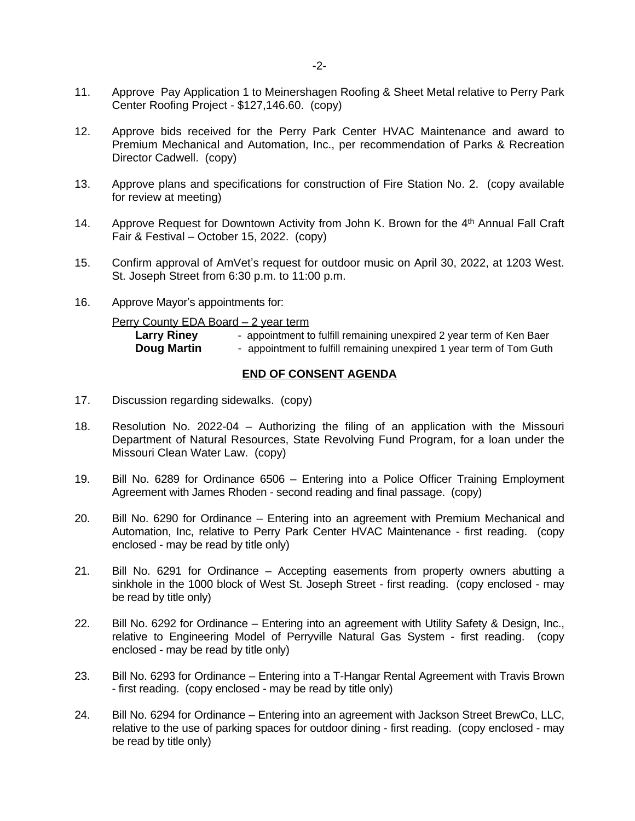- 12. Approve bids received for the Perry Park Center HVAC Maintenance and award to Premium Mechanical and Automation, Inc., per recommendation of Parks & Recreation Director Cadwell. (copy)
- 13. Approve plans and specifications for construction of Fire Station No. 2. (copy available for review at meeting)
- 14. Approve Request for Downtown Activity from John K. Brown for the 4<sup>th</sup> Annual Fall Craft Fair & Festival – October 15, 2022. (copy)
- 15. Confirm approval of AmVet's request for outdoor music on April 30, 2022, at 1203 West. St. Joseph Street from 6:30 p.m. to 11:00 p.m.
- 16. Approve Mayor's appointments for:

Perry County EDA Board – 2 year term

| <b>Larry Riney</b> | - appointment to fulfill remaining unexpired 2 year term of Ken Baer |
|--------------------|----------------------------------------------------------------------|
| <b>Doug Martin</b> | - appointment to fulfill remaining unexpired 1 year term of Tom Guth |

## **END OF CONSENT AGENDA**

- 17. Discussion regarding sidewalks. (copy)
- 18. Resolution No. 2022-04 Authorizing the filing of an application with the Missouri Department of Natural Resources, State Revolving Fund Program, for a loan under the Missouri Clean Water Law. (copy)
- 19. Bill No. 6289 for Ordinance 6506 Entering into a Police Officer Training Employment Agreement with James Rhoden - second reading and final passage. (copy)
- 20. Bill No. 6290 for Ordinance Entering into an agreement with Premium Mechanical and Automation, Inc, relative to Perry Park Center HVAC Maintenance - first reading. (copy enclosed - may be read by title only)
- 21. Bill No. 6291 for Ordinance Accepting easements from property owners abutting a sinkhole in the 1000 block of West St. Joseph Street - first reading. (copy enclosed - may be read by title only)
- 22. Bill No. 6292 for Ordinance Entering into an agreement with Utility Safety & Design, Inc., relative to Engineering Model of Perryville Natural Gas System - first reading. (copy enclosed - may be read by title only)
- 23. Bill No. 6293 for Ordinance Entering into a T-Hangar Rental Agreement with Travis Brown - first reading. (copy enclosed - may be read by title only)
- 24. Bill No. 6294 for Ordinance Entering into an agreement with Jackson Street BrewCo, LLC, relative to the use of parking spaces for outdoor dining - first reading. (copy enclosed - may be read by title only)